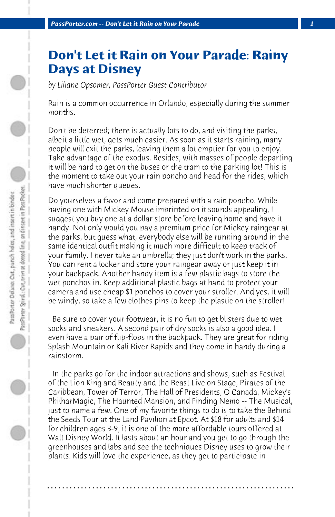# **Don't Let it Rain on Your Parade: Rainy Days at Disney**

*by Liliane Opsomer, PassPorter Guest Contributor*

Rain is a common occurrence in Orlando, especially during the summer months.

Don't be deterred; there is actually lots to do, and visiting the parks, albeit a little wet, gets much easier. As soon as it starts raining, many people will exit the parks, leaving them a lot emptier for you to enjoy. Take advantage of the exodus. Besides, with masses of people departing it will be hard to get on the buses or the tram to the parking lot! This is the moment to take out your rain poncho and head for the rides, which have much shorter queues.

Do yourselves a favor and come prepared with a rain poncho. While having one with Mickey Mouse imprinted on it sounds appealing, I suggest you buy one at a dollar store before leaving home and have it handy. Not only would you pay a premium price for Mickey raingear at the parks, but guess what, everybody else will be running around in the same identical outfit making it much more difficult to keep track of your family. I never take an umbrella; they just don't work in the parks. You can rent a locker and store your raingear away or just keep it in your backpack. Another handy item is a few plastic bags to store the wet ponchos in. Keep additional plastic bags at hand to protect your camera and use cheap \$1 ponchos to cover your stroller. And yes, it will be windy, so take a few clothes pins to keep the plastic on the stroller!

 Be sure to cover your footwear, it is no fun to get blisters due to wet socks and sneakers. A second pair of dry socks is also a good idea. I even have a pair of flip-flops in the backpack. They are great for riding Splash Mountain or Kali River Rapids and they come in handy during a rainstorm.

 In the parks go for the indoor attractions and shows, such as Festival of the Lion King and Beauty and the Beast Live on Stage, Pirates of the Caribbean, Tower of Terror, The Hall of Presidents, O Canada, Mickey's PhilharMagic, The Haunted Mansion, and Finding Nemo -- The Musical, just to name a few. One of my favorite things to do is to take the Behind the Seeds Tour at the Land Pavilion at Epcot. At \$18 for adults and \$14 for children ages 3-9, it is one of the more affordable tours offered at Walt Disney World. It lasts about an hour and you get to go through the greenhouses and labs and see the techniques Disney uses to grow their plants. Kids will love the experience, as they get to participate in

**. . . . . . . . . . . . . . . . . . . . . . . . . . . . . . . . . . . . . . . . . . . . . . . . . . . . . . . . . . . . . . . . . .**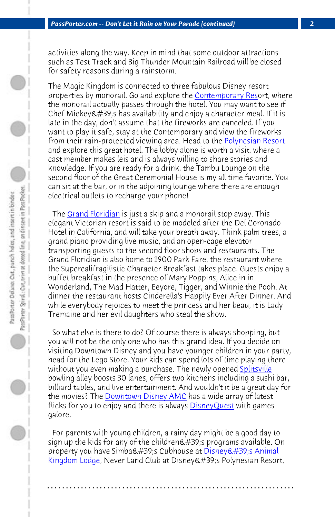*PassPorter.com -- Don't Let it Rain on Your Parade (continued) 2*

activities along the way. Keep in mind that some outdoor attractions such [as Test Track an](https://disneyworld.disney.go.com/resorts/grand-floridian-resort-and-spa/)d Big Thunder Mountain Railroad will be closed for safety reasons during a rainstorm.

The Magic Kingdom is connected to three fabulous Disney resort properties by monorail. Go and explore the Contemporary Resort, where the monorail actually passes through the hotel. You may want to see if Chef Mickey $\&\#39$ ; has availability and enjoy a character meal. If it is late in the day, don't assume that the fireworks are canceled. If you want to play it safe, stay at the Contemporary and view the fireworks from their rain-protected viewing area. Head to the Polynesian Resort and explore this great hotel. The lobby alone is worth a visit, where a cast member makes leis and is always willing to share stories and knowledge. If you are ready for a drink, the Tambu Lounge on the second floor of the Great Ceremonial House is my all time favorite. You can sit at the bar, or in the adjoining lounge where there are enough electrical outlets to recharge your phone!

The Grand Floridian is just a skip and a monorail stop a[way. This](http://www.splitsvillelanes.com) elegant Victorian resort is said to be modeled after the Del Coronado Hotel in California, and will take your breath away. Think palm trees, a grand piano pro[viding live music, and an](http://www.amctheatres.com/movie-theatres/amc-downtown-disney-24-with-dine-in-theatres) open-cage elevator transporting guests to the second floor sh[ops and resta](https://disneyworld.disney.go.com/entertainment/downtown-disney/disney-quest-indoor-interactive-theme-park/)urants. The Grand Floridian is also home to 1900 Park Fare, the restaurant where the Supercalifragilistic Character Breakfast takes place. Guests enjoy a buffet breakfast in the presence of Mary Poppins, Alice in in Wonderland, The Mad Hatter, Eeyore, Tigger, and Winnie the Pooh. At dinner the restaurant hosts Cinderella's Happ[ily Ever After Dinner. A](https://disneyworld.disney.go.com/resorts/animal-kingdom-lodge/)nd [while everybody](https://disneyworld.disney.go.com/resorts/animal-kingdom-lodge/) rejoices to meet the princess and her beau, it is Lady Tremaine and her evil daughters who steal the show.

 So what else is there to do? Of course there is always shopping, but you will not be the only one who has this grand idea. If you decide on visiting Downtown Disney and you have younger children in your party, head for the Lego Store. Your kids can spend lots of time playing there without you even making a purchase. The newly opened Splitsville bowling alley boosts 30 lanes, offers two kitchens including a sushi bar, billiard tables, and live entertainment. And wouldn't it be a great day for the movies? The Downtown Disney AMC has a wide array of latest flicks for you to enjoy and there is always DisneyQuest with games galore.

 For parents with young children, a rainy day might be a good day to sign up the kids for any of the children's programs available. On property you have Simba's Cubhouse at Disney's Animal Kingdom Lodge, Never Land Club at Disney's Polynesian Resort,

**. . . . . . . . . . . . . . . . . . . . . . . . . . . . . . . . . . . . . . . . . . . . . . . . . . . . . . . . . . . . . . . . . .**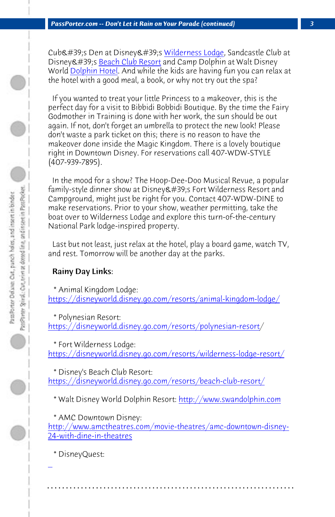*PassPorter.com -- Don't Let it Rain on Your Parade (continued) 3*

Cub's Den at Disney's Wilderness Lodge, Sandcastle Club at Disney's Beach Club Resort and Camp Dolphin at Walt Disney World Dolphin Hotel. And while the kids are having fun you can relax at the hotel with a good meal, a book, or why not try out the spa?

 If you wanted to treat your little Princess to a makeover, this is the perfect day for a visit to Bibbidi Bobbidi Boutique. By the time the Fairy Godmother in Training is done with her work, the sun should be out again. If not, don't forget an umbrella to protect the new look! Please don't waste a park ticket on this; there is no reason to have the [makeover done inside the Magic Kingdom. There is a lovely boutique](https://disneyworld.disney.go.com/resorts/animal-kingdom-lodge/) right in Downtown Disney. For reservations call 407-WDW-STYLE (407-939-7895).

 [In the mood for a show? The Hoop-Dee-Doo Musical Revue, a](https://disneyworld.disney.go.com/resorts/polynesian-resort) popular family-style dinner show at Disney's Fort Wilderness Resort and [Campground, might just be right for you. Contact 407-WDW-DINE to](https://disneyworld.disney.go.com/resorts/wilderness-lodge-resort/) make reservations. Prior to your show, weather permitting, take the boat over to Wilderness Lodge and explore this turn-of-the-century [National Park lodge-inspired property.](https://disneyworld.disney.go.com/resorts/beach-club-resort/)

 Last but not least, just relax at the ho[tel, play a board game, watch T](http://www.swandolphin.com)V, and rest. Tomorrow will be another day at the parks.

## [Rainy Day Links:](http://www.amctheatres.com/movie-theatres/amc-downtown-disney-24-with-dine-in-theatres)

 [\\* Animal Kingdom Lodg](http://www.amctheatres.com/movie-theatres/amc-downtown-disney-24-with-dine-in-theatres)e:

https://disneyworld.disney.go.com/resorts/animal-kingdom-lodge/

 \* Polynesian Resort: https://disneyworld.disney.go.com/resorts/polynesian-resort/

 \* Fort Wilderness Lodge: https://disneyworld.disney.go.com/resorts/wilderness-lodge-resort/

 \* Disney's Beach Club Resort: https://disneyworld.disney.go.com/resorts/beach-club-resort/

\* Walt Disney World Dolphin Resort: http://www.swandolphin.com

#### \* AMC Downtown Disney:

http://www.amctheatres.com/movie-theatres/amc-downtown-disney-24-with-dine-in-theatres

**. . . . . . . . . . . . . . . . . . . . . . . . . . . . . . . . . . . . . . . . . . . . . . . . . . . . . . . . . . . . . . . . . .**

\* DisneyQuest:

L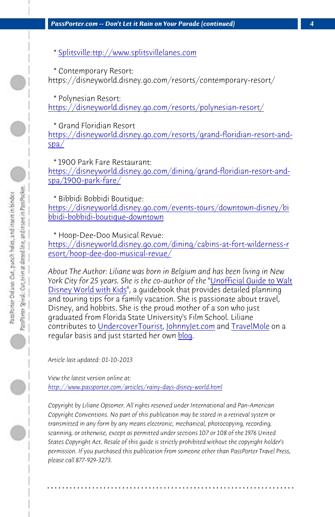# *[PassPorter.com -- Don't Let it Rain on Your Parade \(continued\)](https://disneyworld.disney.go.com/dining/grand-floridian-resort-and-spa/1900-park-fare/) 4*

# [\\* Splitsville:ttp://www.splitsvillelanes.com](https://disneyworld.disney.go.com/events-tours/downtown-disney/bibbidi-bobbidi-boutique-downtown/)

#### [\\* Contemporary Resort:](https://disneyworld.disney.go.com/events-tours/downtown-disney/bibbidi-bobbidi-boutique-downtown/)

https://disneyworld.disney.go.com/resorts/contemporary-resort/

## [\\* Polynesian Resort:](https://disneyworld.disney.go.com/dining/cabins-at-fort-wilderness-resort/hoop-dee-doo-musical-revue/)

https://disneyworld.disney.go.com/resorts/polynesian-resort/

#### \* Grand Floridian Resort

[https://disneyworld.dis](https://www.facebook.com/TheUnofficialGuideToWaltDisneyWorldWithKids)ney.go.com/resorts/gr[and-floridian-resort-and](https://www.facebook.com/TheUnofficialGuideToWaltDisneyWorldWithKids)spa/

## \* 1900 Park Fare Restaurant:

https://disne[yworld.disney.go.com](http://blog.undercovertourist.com/2012/12/celebrating-the-season-holidays-around-the-world-at-epcots-world-showcase/)[/dining/grand](http://www.johnnyjet.com/2012/11/the-hobbit-an-unexpected-journey-premieres-in-wellington/)-flo[ridian-resort](http://www.travelmole.com/news_feature.php?news_id=2004156)-andspa/1900-park-fare/

## \* Bibbidi Bobbidi Boutique:

https://disneyworld.disney.go.com/events-tours/downtown-disney/bi bbidi-bobbidi-boutique-downtown

# [\\* Hoop-Dee-Doo Musical Revue:](http://www.passporter.com/articles/rainy-days-disney-world.php)

https://disneyworld.disney.go.com/dining/cabins-at-fort-wilderness-r esort/hoop-dee-doo-musical-revue/

*About The Author: Liliane was born in Belgium and has been living in New York City for 25 years. She is the co-author of the "*Unofficial Guide to Walt Disney World with Kids", a guidebook that provides detailed planning and touring tips for a family vacation. She is passionate about travel, Disney, and hobbits. She is the proud mother of a son who just graduated from Florida State University's Film School. Liliane contributes to UndercoverTourist, JohnnyJet.com and TravelMole on a regular basis and just started her own blog.

*Article last updated: 01-10-2013*

#### *View the latest version online at: http://www.passporter.com/articles/rainy-days-disney-world.html*

*Copyright by Liliane Opsomer. All rights reserved under International and Pan-American Copyright Conventions. No part of this publication may be stored in a retrieval system or transmitted in any form by any means electronic, mechanical, photocopying, recording, scanning, or otherwise, except as permitted under sections 107 or 108 of the 1976 United States Copyright Act. Resale of this guide is strictly prohibited without the copyright holder's permission. If you purchased this publication from someone other than PassPorter Travel Press, please call 877-929-3273.*

**. . . . . . . . . . . . . . . . . . . . . . . . . . . . . . . . . . . . . . . . . . . . . . . . . . . . . . . . . . . . . . . . . .**